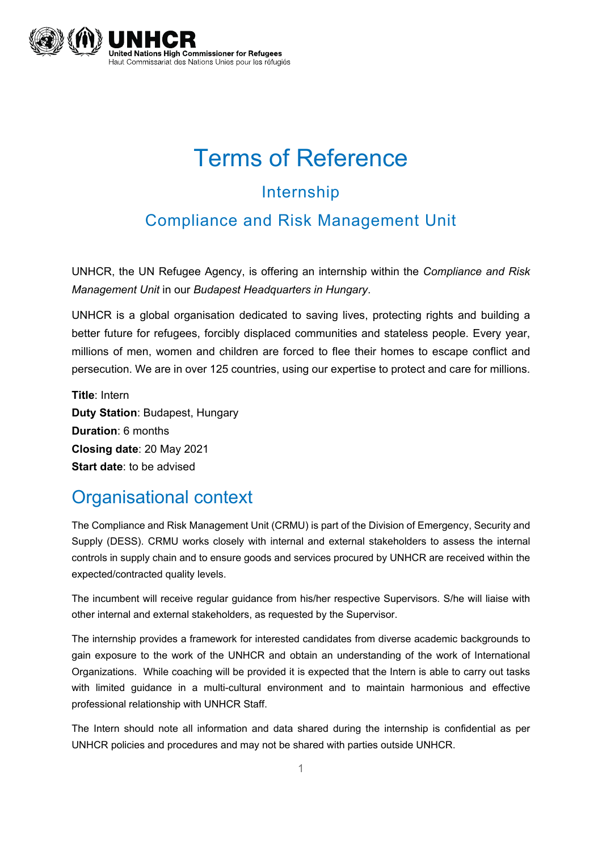

# Terms of Reference Internship

#### Compliance and Risk Management Unit

UNHCR, the UN Refugee Agency, is offering an internship within the *Compliance and Risk Management Unit* in our *Budapest Headquarters in Hungary*.

UNHCR is a global organisation dedicated to saving lives, protecting rights and building a better future for refugees, forcibly displaced communities and stateless people. Every year, millions of men, women and children are forced to flee their homes to escape conflict and persecution. We are in over 125 countries, using our expertise to protect and care for millions.

**Title**: Intern **Duty Station**: Budapest, Hungary **Duration**: 6 months **Closing date**: 20 May 2021 **Start date**: to be advised

#### Organisational context

The Compliance and Risk Management Unit (CRMU) is part of the Division of Emergency, Security and Supply (DESS). CRMU works closely with internal and external stakeholders to assess the internal controls in supply chain and to ensure goods and services procured by UNHCR are received within the expected/contracted quality levels.

The incumbent will receive regular guidance from his/her respective Supervisors. S/he will liaise with other internal and external stakeholders, as requested by the Supervisor.

The internship provides a framework for interested candidates from diverse academic backgrounds to gain exposure to the work of the UNHCR and obtain an understanding of the work of International Organizations. While coaching will be provided it is expected that the Intern is able to carry out tasks with limited guidance in a multi-cultural environment and to maintain harmonious and effective professional relationship with UNHCR Staff.

The Intern should note all information and data shared during the internship is confidential as per UNHCR policies and procedures and may not be shared with parties outside UNHCR.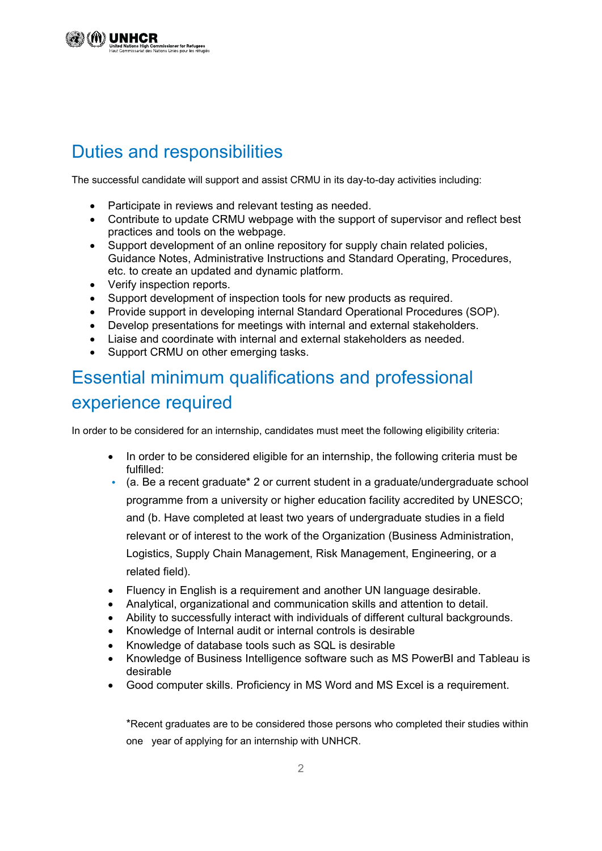## Duties and responsibilities

The successful candidate will support and assist CRMU in its day-to-day activities including:

- Participate in reviews and relevant testing as needed.
- Contribute to update CRMU webpage with the support of supervisor and reflect best practices and tools on the webpage.
- Support development of an online repository for supply chain related policies, Guidance Notes, Administrative Instructions and Standard Operating, Procedures, etc. to create an updated and dynamic platform.
- Verify inspection reports.
- Support development of inspection tools for new products as required.
- Provide support in developing internal Standard Operational Procedures (SOP).
- Develop presentations for meetings with internal and external stakeholders.
- Liaise and coordinate with internal and external stakeholders as needed.
- Support CRMU on other emerging tasks.

## Essential minimum qualifications and professional experience required

In order to be considered for an internship, candidates must meet the following eligibility criteria:

- In order to be considered eligible for an internship, the following criteria must be fulfilled:
- **•** (a. Be a recent graduate\* 2 or current student in a graduate/undergraduate school programme from a university or higher education facility accredited by UNESCO; and (b. Have completed at least two years of undergraduate studies in a field relevant or of interest to the work of the Organization (Business Administration, Logistics, Supply Chain Management, Risk Management, Engineering, or a related field).
- Fluency in English is a requirement and another UN language desirable.
- Analytical, organizational and communication skills and attention to detail.
- Ability to successfully interact with individuals of different cultural backgrounds.
- Knowledge of Internal audit or internal controls is desirable
- Knowledge of database tools such as SQL is desirable
- Knowledge of Business Intelligence software such as MS PowerBI and Tableau is desirable
- Good computer skills. Proficiency in MS Word and MS Excel is a requirement.

\*Recent graduates are to be considered those persons who completed their studies within one year of applying for an internship with UNHCR.